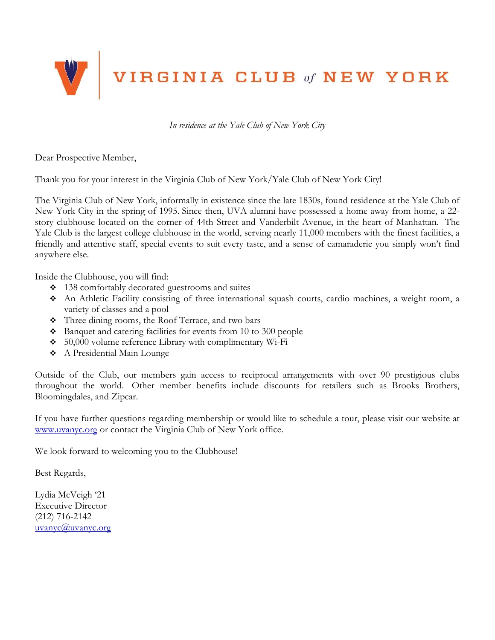

*In residence at the Yale Club of New York City*

Dear Prospective Member,

Thank you for your interest in the Virginia Club of New York/Yale Club of New York City!

The Virginia Club of New York, informally in existence since the late 1830s, found residence at the Yale Club of New York City in the spring of 1995. Since then, UVA alumni have possessed a home away from home, a 22 story clubhouse located on the corner of 44th Street and Vanderbilt Avenue, in the heart of Manhattan. The Yale Club is the largest college clubhouse in the world, serving nearly 11,000 members with the finest facilities, a friendly and attentive staff, special events to suit every taste, and a sense of camaraderie you simply won't find anywhere else.

Inside the Clubhouse, you will find:

- 138 comfortably decorated guestrooms and suites
- An Athletic Facility consisting of three international squash courts, cardio machines, a weight room, a variety of classes and a pool
- Three dining rooms, the Roof Terrace, and two bars
- Banquet and catering facilities for events from 10 to 300 people
- 50,000 volume reference Library with complimentary Wi-Fi
- A Presidential Main Lounge

Outside of the Club, our members gain access to reciprocal arrangements with over 90 prestigious clubs throughout the world. Other member benefits include discounts for retailers such as Brooks Brothers, Bloomingdales, and Zipcar.

If you have further questions regarding membership or would like to schedule a tour, please visit our website at [www.uvanyc.org](http://www.uvanyc.org/) or contact the Virginia Club of New York office.

We look forward to welcoming you to the Clubhouse!

Best Regards,

Lydia McVeigh '21 Executive Director (212) 716-2142  $uvw$ anyc $\omega$ uvanyc.org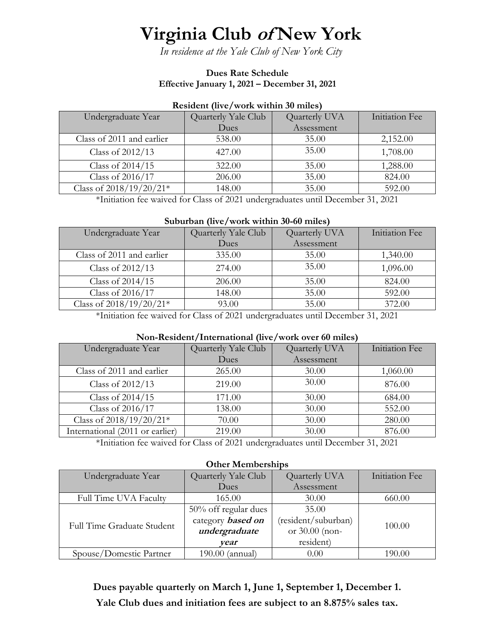# **Virginia Club of New York**

*In residence at the Yale Club of New York City*

#### **Dues Rate Schedule Effective January 1, 2021 – December 31, 2021**

| $(1, 1, 1)$ , $(2, 1)$ , $(3, 1)$ , $(4, 1)$ , $(5, 1)$ , $(6, 1)$ |                     |               |                |  |  |
|--------------------------------------------------------------------|---------------------|---------------|----------------|--|--|
| Undergraduate Year                                                 | Quarterly Yale Club | Quarterly UVA | Initiation Fee |  |  |
|                                                                    | Dues                | Assessment    |                |  |  |
| Class of 2011 and earlier                                          | 538.00              | 35.00         | 2,152.00       |  |  |
| Class of 2012/13                                                   | 427.00              | 35.00         | 1,708.00       |  |  |
| Class of 2014/15                                                   | 322.00              | 35.00         | 1,288.00       |  |  |
| Class of 2016/17                                                   | 206.00              | 35.00         | 824.00         |  |  |
| Class of $2018/19/20/21*$                                          | 148.00              | 35.00         | 592.00         |  |  |

#### **Resident (live/work within 30 miles)**

\*Initiation fee waived for Class of 2021 undergraduates until December 31, 2021

#### **Suburban (live/work within 30-60 miles)**

| Undergraduate Year        | Quarterly Yale Club | Quarterly UVA | Initiation Fee |
|---------------------------|---------------------|---------------|----------------|
|                           | Dues                | Assessment    |                |
| Class of 2011 and earlier | 335.00              | 35.00         | 1,340.00       |
| Class of 2012/13          | 274.00              | 35.00         | 1,096.00       |
| Class of 2014/15          | 206.00              | 35.00         | 824.00         |
| Class of 2016/17          | 148.00              | 35.00         | 592.00         |
| Class of $2018/19/20/21*$ | 93.00               | 35.00         | 372.00         |

\*Initiation fee waived for Class of 2021 undergraduates until December 31, 2021

#### **Non-Resident/International (live/work over 60 miles)**

| Undergraduate Year              | Quarterly Yale Club | Quarterly UVA | Initiation Fee |  |
|---------------------------------|---------------------|---------------|----------------|--|
|                                 | Dues                | Assessment    |                |  |
| Class of 2011 and earlier       | 265.00              | 30.00         | 1,060.00       |  |
| Class of 2012/13                | 219.00              | 30.00         | 876.00         |  |
| Class of 2014/15                | 171.00              | 30.00         | 684.00         |  |
| Class of 2016/17                | 138.00              | 30.00         | 552.00         |  |
| Class of $2018/19/20/21*$       | 70.00               | 30.00         | 280.00         |  |
| International (2011 or earlier) | 219.00              | 30.00         | 876.00         |  |
|                                 |                     |               |                |  |

\*Initiation fee waived for Class of 2021 undergraduates until December 31, 2021

#### **Other Memberships**

| Undergraduate Year           | Quarterly Yale Club      | Quarterly UVA       | Initiation Fee |
|------------------------------|--------------------------|---------------------|----------------|
|                              | Dues                     | Assessment          |                |
| <b>Full Time UVA Faculty</b> | 165.00                   | 30.00               | 660.00         |
| Full Time Graduate Student   | 50% off regular dues     | 35.00               |                |
|                              | category <b>based</b> on | (resident/suburban) | 100.00         |
|                              | undergraduate            | or 30.00 (non-      |                |
|                              | vear                     | resident)           |                |
| Spouse/Domestic Partner      | $190.00$ (annual)        | 0.00                | 190.00         |

**Dues payable quarterly on March 1, June 1, September 1, December 1. Yale Club dues and initiation fees are subject to an 8.875% sales tax.**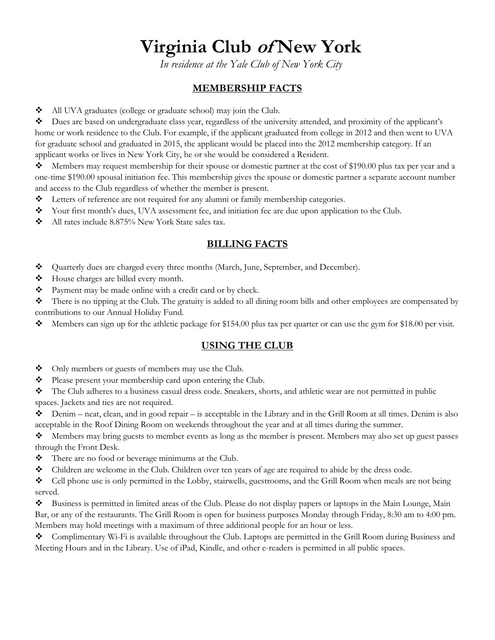# **Virginia Club of New York**

*In residence at the Yale Club of New York City*

### **MEMBERSHIP FACTS**

All UVA graduates (college or graduate school) may join the Club.

Dues are based on undergraduate class year, regardless of the university attended, and proximity of the applicant's home or work residence to the Club. For example, if the applicant graduated from college in 2012 and then went to UVA for graduate school and graduated in 2015, the applicant would be placed into the 2012 membership category. If an applicant works or lives in New York City, he or she would be considered a Resident.

Members may request membership for their spouse or domestic partner at the cost of \$190.00 plus tax per year and a one-time \$190.00 spousal initiation fee. This membership gives the spouse or domestic partner a separate account number and access to the Club regardless of whether the member is present.

- Letters of reference are not required for any alumni or family membership categories.
- \* Your first month's dues, UVA assessment fee, and initiation fee are due upon application to the Club.
- All rates include 8.875% New York State sales tax.

### **BILLING FACTS**

- Quarterly dues are charged every three months (March, June, September, and December).
- House charges are billed every month.
- \* Payment may be made online with a credit card or by check.
- There is no tipping at the Club. The gratuity is added to all dining room bills and other employees are compensated by contributions to our Annual Holiday Fund.
- Members can sign up for the athletic package for \$154.00 plus tax per quarter or can use the gym for \$18.00 per visit.

### **USING THE CLUB**

- Only members or guests of members may use the Club.
- Please present your membership card upon entering the Club.

The Club adheres to a business casual dress code. Sneakers, shorts, and athletic wear are not permitted in public spaces. Jackets and ties are not required.

 $\bullet$  Denim – neat, clean, and in good repair – is acceptable in the Library and in the Grill Room at all times. Denim is also acceptable in the Roof Dining Room on weekends throughout the year and at all times during the summer.

 $\lozenge$  Members may bring guests to member events as long as the member is present. Members may also set up guest passes through the Front Desk.

- $\triangleleft$  There are no food or beverage minimums at the Club.
- Children are welcome in the Club. Children over ten years of age are required to abide by the dress code.
- Cell phone use is only permitted in the Lobby, stairwells, guestrooms, and the Grill Room when meals are not being served.

Business is permitted in limited areas of the Club. Please do not display papers or laptops in the Main Lounge, Main Bar, or any of the restaurants. The Grill Room is open for business purposes Monday through Friday, 8:30 am to 4:00 pm. Members may hold meetings with a maximum of three additional people for an hour or less.

 $\bullet$  Complimentary Wi-Fi is available throughout the Club. Laptops are permitted in the Grill Room during Business and Meeting Hours and in the Library. Use of iPad, Kindle, and other e-readers is permitted in all public spaces.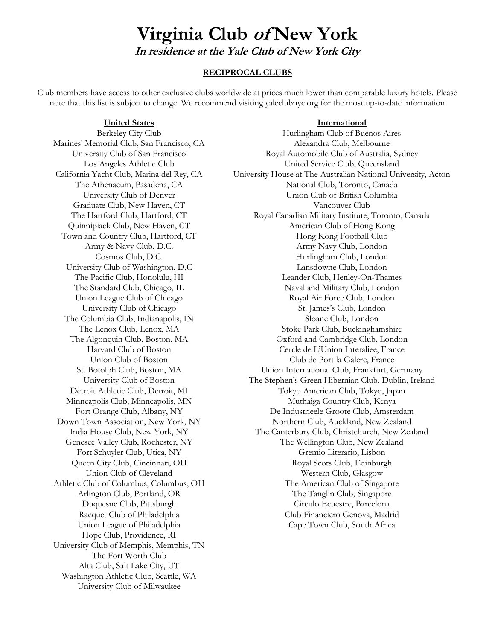## **Virginia Club of New York In residence at the Yale Club of New York City**

#### **RECIPROCAL CLUBS**

Club members have access to other exclusive clubs worldwide at prices much lower than comparable luxury hotels. Please note that this list is subject to change. We recommend visiting yaleclubnyc.org for the most up-to-date information

#### **United States International**

Marines' Memorial Club, San Francisco, CA Alexandra Club, Melbourne Graduate Club, New Haven, CT Vancouver Club The Columbia Club, Indianapolis, IN Sloane Club, London Union League of Philadelphia Cape Town Club, South Africa Hope Club, Providence, RI University Club of Memphis, Memphis, TN The Fort Worth Club Alta Club, Salt Lake City, UT Washington Athletic Club, Seattle, WA University Club of Milwaukee

Berkeley City Club **Hurlingham Club of Buenos Aires** University Club of San Francisco Royal Automobile Club of Australia, Sydney Los Angeles Athletic Club United Service Club, Queensland California Yacht Club, Marina del Rey, CA University House at The Australian National University, Acton The Athenaeum, Pasadena, CA National Club, Toronto, Canada University Club of Denver Union Club of British Columbia The Hartford Club, Hartford, CT Royal Canadian Military Institute, Toronto, Canada Quinnipiack Club, New Haven, CT American Club of Hong Kong Town and Country Club, Hartford, CT Hong Kong Football Club Army & Navy Club, D.C. Army Navy Club, London Cosmos Club, D.C. Hurlingham Club, London University Club of Washington, D.C Lansdowne Club, London The Pacific Club, Honolulu, HI Leander Club, Henley-On-Thames The Standard Club, Chicago, IL Naval and Military Club, London Union League Club of Chicago Royal Air Force Club, London University Club of Chicago St. James's Club, London The Lenox Club, Lenox, MA Stoke Park Club, Buckinghamshire The Algonquin Club, Boston, MA Oxford and Cambridge Club, London Harvard Club of Boston Cercle de L'Union Interaliee, France Union Club of Boston Club de Port la Galere, France St. Botolph Club, Boston, MA Union International Club, Frankfurt, Germany University Club of Boston The Stephen's Green Hibernian Club, Dublin, Ireland Detroit Athletic Club, Detroit, MI Tokyo American Club, Tokyo, Japan Minneapolis Club, Minneapolis, MN Muthaiga Country Club, Kenya Fort Orange Club, Albany, NY De Industrieele Groote Club, Amsterdam Down Town Association, New York, NY Northern Club, Auckland, New Zealand India House Club, New York, NY The Canterbury Club, Christchurch, New Zealand Genesee Valley Club, Rochester, NY The Wellington Club, New Zealand Fort Schuyler Club, Utica, NY Gremio Literario, Lisbon Queen City Club, Cincinnati, OH Royal Scots Club, Edinburgh Union Club of Cleveland Western Club, Glasgow Athletic Club of Columbus, Columbus, OH The American Club of Singapore Arlington Club, Portland, OR The Tanglin Club, Singapore Duquesne Club, Pittsburgh Circulo Ecuestre, Barcelona Racquet Club of Philadelphia Club Financiero Genova, Madrid